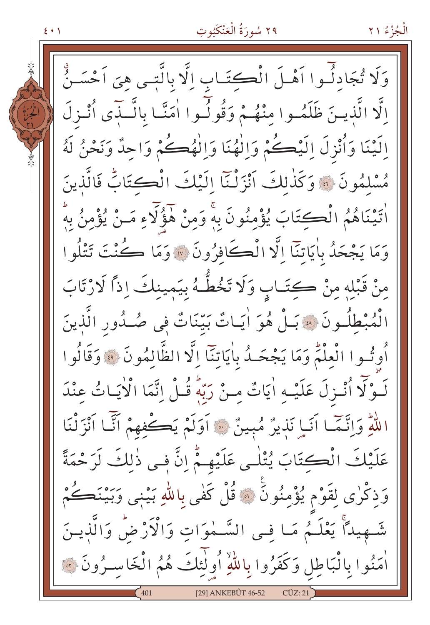٢٩ سُورَةُ الْعَنْكَبُوتِ

 $\xi$  +  $\eta$ 

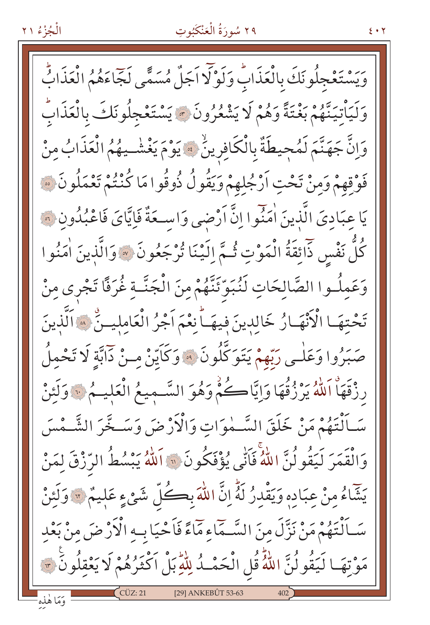# ٢٩ سُورَةُ الْعَنْكَبُوتِ

 $5.7$ 

وَيَسْتَعْجِلُونَكَ بِالْعَذَابِ وَلَوْلَا اَجَلٌ مُسَمًّى لَجَّاءَهُمُ الْعَذَابُّ وَلَيَأْتِيَنَّهُمْ بَعْتَةً وَهُمْ لَا يَشْعُرُونَ \* يَسْتَعْجِلُونَكَ بِالْعَذَابِّ وَإِنَّ جَهَنَّمَ لَمُحِيطَةٌ بِالْكَافِرِينُ \* يَوْمَ يَغْشْـيهُمُ الْعَذَابُ مِنْ فَوْقِهِمْ وَمِنْ تَحْتِ اَرْجُلِهِمْ وَيَقُولُ ذُوقُوا مَا كُنْتُمْ تَعْمَلُونَ ﴾ يَا عِبَادِيَ الَّذِينَ اٰمَنُوا اِنَّ أَرْضَى وَاسِعَةٌ فَاِيَّايَ فَاعْبُدُونِ ۞ كُلَّ نَفْسٍ ذَائِقَةُ الْمَوْتِ ثُـمَّ اِلَيْنَا تُرْجَعُونَ ۞ وَالَّذِينَ اٰمَنُوا وَعَمِلُـوا الصَّالِحَاتِ لَنُبَوِّئَنَّهُمْ مِنَ الْجَنَّـةِ غُرَفًا تَجْرى مِنْ تَحْتِهَـا الْأَنْهَـارُ خَالِدِينَ فِيهَـاً نِعْمَ اَجْرُ الْعَامِلِيــنِّ ۞ اَلَّذِينَ صَبَرُوا وَعَلْـي رَبَّهمْ يَتَوَكَّلُونَ ۞ وَكَايِّنْ مِـنْ دَابَّةِ لَا تَحْمِلُ رزْقَهَاْ اَللَّهُ يَرْزُقُهَا وَإِيَّاكُمْ وَهُوَ السَّـمِيعُ الْعَلِيـمُ \* وَلَئِنْ سَـاَلْتَهُمْ مَنْ خَلَقَ السَّـمٰوَاتِ وَالْأَرْضَ وَسَـخَّرَ الشَّـمْسَ وَالْقَمَرَ لَيَقُولُنَّ اللَّهُ فَأَنِّي يُؤْفَكُونَ ۚ " اَللَّهُ يَبْسُطُ الرِّزْقَ لِمَنْ يَشَاءُ مِنْ عِبَادِهِ وَيَقْدِرُ لَهُ إِنَّ اللَّهَ بِكُلِّ شَيْءٍ عَلِيمٌ \* وَلَئِنْ سَـاَنْتَهُمْ مَنْ نَزَّلَ مِنَ السَّـمَاءِ مَآءً فَاَحْيَا بِـهِ الْأَرْضَ مِنْ بَعْدِ مَوْتِهَا لَيَقُولُنَّ اللَّهُ قُلِ الْحَمْـدُ لِلَّهِ بَلْ اَكْثَرُهُمْ لَا يَعْقِلُونَ ۞ [29] ANKEBÛT 53-63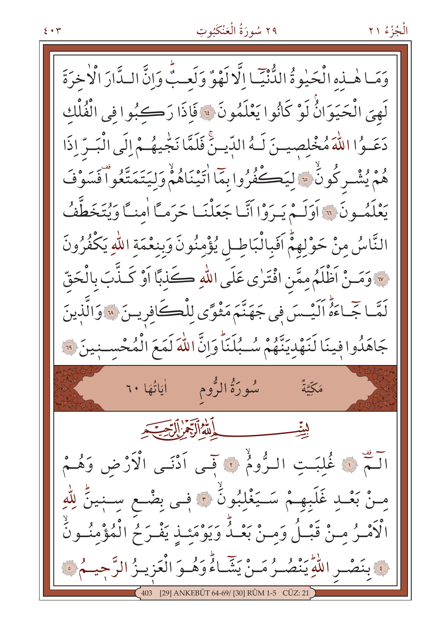## ٢٩ سُورَةُ الْعَنْكَبُوتِ

وَمَا هٰـذِهِ الْحَيْوةُ الدُّنْيِّـا إِلَّا لَهْوٌ وَلَعِبٌّ وَإِنَّ الـدَّارَ الْأَخرَةَ لَهِيَ الْحَيَوَانُّ لَوْ كَانُوا يَعْلَمُونَ ۞ فَإِذَا رَكِبُوا فِي الْفُلْكِ دَعَـوُا اللَّهَ مُخْلِصِيهِنَ لَـهُ الدِّيهِنَّ فَلَمَّا نَجْيهُـمْ إِلَى الْبَـرِّ إِذَا هُمْ يُشْيِرِكُونُ ۚ لِيَڪُفُرُوا بِمَا اٰتَيْنَاهُمْ وَلِيَتَمَتَّعُواْ فَسَوْفَ يَعْلَمُونَ ، اَوَلَـمْ يَـرَوْا أَنَّـا جَعَلْنَـا حَرَماً اٰمنـَّا وَيُتَخَطَّفُ النَّاسُ مِنْ حَوْلِهِمُّ اَفَبِالْبَاطِلِ يُؤْمِنُونَ وَبِنِعْمَةِ اللَّهِ يَكْفُرُونَ لِهَ وَمَـنْ اَظْلَمُ مِمَّن افْتَرٰى عَلَى اللهِ كَذِبًا اَوْ كَـذَّبَ بِالْحَقّ لَمَّـاجِّـاءَهُ اَلَيْـسَ فِي جَهَنَّمَ مَثْوًى لِلْڪَافِرِيـنَ ۞ وَالَّذِينَ جَاهَدُوا فِينَا لَنَهْدِيَنَّهُمْ سُبُلَنَاً وَإِنَّ اللَّهَ لَمَعَ الْمُحْسِنِينَ فَيْ مَكِّيَّةٌ الفاداتية: التحقيق اللَّمَ فَي غُلبَتِ الرُّومُ فَي قَبِي اَدْنَى الْأَرْضِ وَهُـمْ مِسْ بَعْبِ غَلَبِهِـمْ سَـيَغْلِبُونَّ ۞ فِـي بِضْـعِ سِـنٖينٍّ لِلَّهِ الْأَمْـرُ مِـنْ قَبْـلُ وَمِـنْ بَعْـدُ وَيَوْمَئِـذِ يَفْـرَحُ الْمُؤْمِنُـونُ يَّ بِنَصْـرِ اللَّهِ يَنْصُـرُ مَـنْ يَشَّـاءُ وَهُـوَ الْعَزِيـزُ الرَّحِيـمُ ۞ ANKEBÛT 64-69/ [30] RÛM 1-5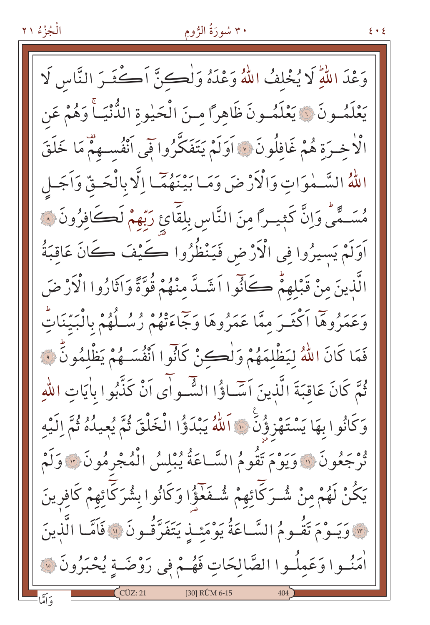## ۳۰ سُورَةُ الرُّومِ

وَعْدَ اللَّهِ لَا يُخْلِفُ اللَّهُ وَعْدَهُ وَلْكِنَّ أَكْثَـرَ النَّاسِ لَا يَعْلَمُـونَ ۞ يَعْلَمُـونَ ظَاهِرًا مـنَ الْحَيْوةِ الدُّنْيَـاَّ وَهُمْ عَن الْاخْـرَة هُمْ غَافِلُونَ ۞ آوَلَمْ يَتَفَكَّرُوا فِي أَنْفُسـهِمْ مَا خَلَقَ اللَّهُ السَّمْوَاتِ وَالْأَرْضَ وَمَا بَيْنَهُمَّا إِلَّا بِالْحَـقِّ وَاَجَـل مُسَـمًّى وَإِنَّ كَثِيـرًا مِنَ النَّاسِ بِلقَّائِ رَبّهمْ لَكَـأفِرُونَ ۞ اَوَلَمْ يَسيرُوا فِي الْأَرْضِ فَيَنْظُرُوا كَيْفَ كَانَ عَاقِبَةُ الَّذِينَ مِنْ قَبْلِهِمْ كَأَنَّوا اَشَـدَّ مِنْهُمْ قُوَّةً وَاتَّارُوا الْأَرْضَ وَعَمَرُوهَا اَكْثَـرَ مِمَّا عَمَرُوهَا وَجَاءَتْهُمْ رُسُـلُهُمْ بِالْبَيِّنَاتِّ فَمَا كَانَ اللَّهُ لِيَظْلِمَهُمْ وَلْكِنْ كَانُوا أَنْفُسَـهُمْ يَظْلِمُونَّ فَ ثُمَّ كَانَ عَاقِبَةَ الَّذِينَ اَسَاؤُا الشُّواْءَ اَنْ كَذَّبُوا بِاٰيَاتِ اللَّهِ وَكَانُوا بِهَا يَسْتَهْزِؤُنَّ ۚ اَللَّهُ يَبْدَؤُا الْخَلْقَ ثُمَّ يُعِيدُهُ ثُمَّ الَّيْه هُوَ عَمُونَ ۚ إِلَّا وَيَوْمَ تَقُومُ السَّاعَةُ يُبْلِسُ الْمُجْرِمُونَ ۚ إِلَّا وَلَمْ يَكُنْ لَهُمْ مِنْ شُرَكَّائِهِمْ شُـفَعَّؤُا وَكَانُوا بِشُرَكَائِهِمْ كَافِرِينَ ٣ وَيَـوْمَ تَقُـومُ السَّـاعَةُ يَوْمَئِـذٍ يَتَفَرَّقُـونَ ۞ فَاَمَّـا الَّذِينَ أَمَنُــوا وَعَمِلُــوا الصَّالِحَاتِ فَهُــمْ فِي رَوْضَــةٍ يُحْبَرُونَ ۞ [30] RÛM 6-15

 $\xi * \xi$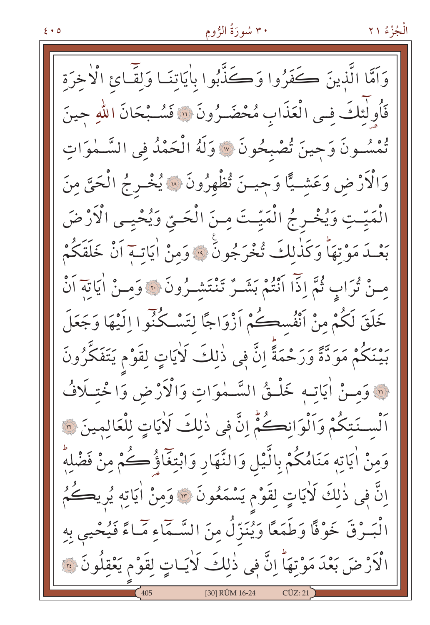## ۳۰ سُورَةُ الرُّومِ

وَاَمَّا الَّذِينَ كَفَرُوا وَكَذَّبُوا بِاٰيَاتِنَـا وَلَقَّـائِ الْأَخِرَة فَأُولٰئِكَ في الْعَذَابِ مُحْضَـرُونَ ۞ فَسُـبْحَانَ اللهِ جينَ تْمْسُونَ وَجِينَ تُصْبِحُونَ ۞ وَلَهُ الْحَمْدُ فِي السَّـمٰوَاتِ وَالْأَرْضِ وَعَشِيًّا وَجِيـنَ تُظْهِرُونَ ۞ يُخْـرِجُ الْحَيَّ مِنَ الْمَيّتِ وَيُخْـرِجُ الْمَيّتَ مِـنَ الْحَـيّ وَيُحْيِـى الْأَرْضَ بَعْـدَ مَوْتِهَا وَكَذٰلِكَ تُخْرَجُونَ ۚ ۚ وَمِنْ اٰيَاتِـمَ أَنْ خَلَقَكُمْ مِنْ تُرَابٍ ثُمَّ إِذَّا أَنْتُمْ بَشَـرٌ تَنْتَشَـرُونَ ۞ وَمِـنْ أَيَاتِهِ أَنْ خَلَقَ لَكُمْ مِنْ اَنْفُسِكُمْ اَزْوَاجًا لِتَسْكُنُوا اِلَيْهَا وَجَعَلَ بَيْنَكُمْ مَوَدَّةً وَرَحْمَةً إِنَّ فِي ذٰلِكَ لَاٰيَاتٍ لِقَوْمٍ يَتَفَكَّرُونَ @ وَمنْ أيَاتِه خَلْقُ السَّمْوَاتِ وَالْأَرْضِ وَا خَتِلَافُ أَلْسِـنَتِكُمْ وَأَلْوَانِكُمْ إِنَّ فِي ذٰلِكَ لَاٰيَاتٍ لِلْعَالِمِينَ ٣ وَمِنْ اٰيَاتِهِ مَنَامُكُمْ بِالَّيْلِ وَالنَّهَارِ وَابْتِغَاؤُكِكُمْ مِنْ فَضْلِهِ اِنَّ فِي ذٰلِكَ لَأَيَاتٍ لِقَوْمٍ يَسْمَعُونَ ۞ وَمِنْ أَيَاتِهِ يُرِيكُمُ الْبَـرْقَ خَوْفًا وَطَمَعًا وَيُنَزّلُ مِنَ السَّـمَاءِ مَٓـاءً فَيُحْيى بِهِ الْأَرْضَ بَعْدَ مَوْتِهَا ۚ إِنَّ فِي ذٰلِكَ لَاٰيَـاتٍ لِقَوْمٍ يَعْقِلُونَ ۞ [30] RÛM 16-24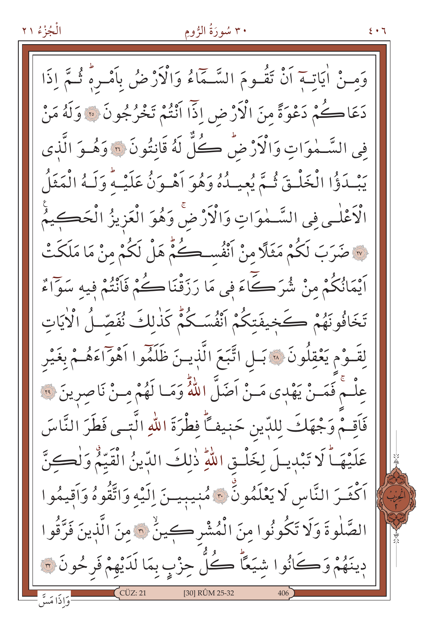## ۳۰ سُورَةُ الرُّومِ

٤٠٦

وَمـنْ اٰيَاتــَمَ اَنْ تَقُـومَ السَّـمَّاءُ وَالْأَرْضُ بِاَمْـرِهِ ثُـمَّ إِذَا دَعَاڪُمْ دَعْوَةً مِنَ الْأَرْضِ اِذَا اَنْتُمْ تَخْرُجُونَ ۞ وَلَهُ مَنْ فِي السَّــٰموَاتِ وَالْأَرْضُ كُلِّ لَهُ قَانتُونَ ۞ وَهُــوَ الَّذي يَبْدَؤُا الْخَلْقَ ثُمَّ يُعِيدُهُ وَهُوَ أَهْبِوَنُ عَلَيْهُ وَلَهُ الْمَثَلُ الْأَعْلٰـى فِي السَّـمٰوَاتِ وَالْأَرْضَ وَهُوَ الْعَزِيزُ الْحَكِـيمُ لَّةَ صَرَبَ لَكُمْ مَثَلًا مِنْ أَنْفُسِكُمْ هَلْ لَكُمْ مِنْ مَا مَلَكَتْ اَيْمَانُكُمْ مِنْ شُرَكَےآءَ فِي مَا رَزَقْنَاڪُمْ فَاَنْتُمْ فِيهِ سَوَّاءٌ تَخَافُونَهُمْ كَخِيفَتِكُمْ انْفُسَكُمْ كَذٰلِكَ نُفَصِّلُ الْأَيَاتِ لِقَـوْم يَعْقِلُونَ \* بَـلِ اتَّبَعَ الَّذِيـنَ ظَلَمُوا اَهْوَاءَهُـمْ بِغَيْرِ عِلْـمْ فَمَـنْ يَهْدِى مَـنْ اَضَلَّ اللّهُ وَمَـا لَهُمْ مِـنْ نَاصِرِينَ ۞ فَأَقِمْ وَجْهَكَ لِلدِّينِ حَنِيفاً فِطْرَةَ اللهِ الَّتِـى فَطَرَ النَّاسَ عَلَيْهَـاً لَا تَبْدِيـلَ لِخَلْـقِ اللّهِ ذٰلِكَ الدِّينُ الْقَيّمُ وَلْكِنَّ اَكْثَـرَ النَّاسِ لَا يَعْلَمُونَّ \* مُنِيبِيــنَ اِلَيْهِ وَاتَّقُوهُ وَاَقِيمُوا الصَّلْوةَ وَلَا تَكُونُوا مِنَ الْمُشْرِكِينُ ۞ مِنَ الَّذِينَ فَرَّقُوا دِينَهُمْ وَكَانُوا شِيَعًا ۚ كُلّْ حِزْبٍ بِمَا لَدَيْهِمْ فَرِحُونَ ۞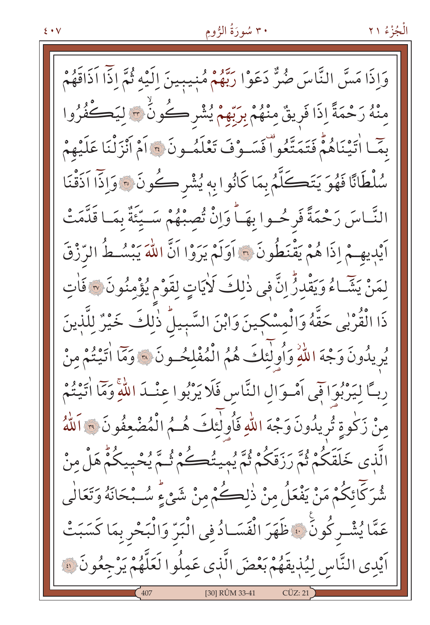## ۳۰ سُورَةُ الرُّومِ

وَإِذَا مَسَّ النَّاسَ ضُرٌّ دَعَوْا رَبَّهُمْ مُنِيبِينَ إِلَيْهِ ثُمَّ إِذّا آذَاقَهُمْ مِنْهُ رَحْمَةً إِذَا فَرِيقٌ مِنْهُمْ بِرَبِّهِمْ يُشْرِكُونَ ۚ وَلِيَكُفُرُوا بِمَّـا اٰتِيْنَاهُمْ فَتَمَتَّعُواْ فَسَـوْفَ تَعْلَمُـونَ ۞ اَمْ اَنْزَلْنَا عَلَيْهِمْ سُلْطَانًا فَهُوَ يَتَكَلَّمُ بِمَا كَانُوا بِهِ يُشْرِكُونَ ﴾ وَإِذَا اَذَقْنَا النَّـاسَ رَحْمَةً فَرِحُـوا بِهَـاً وَإِنّْ تُصِبْهُمْ سَـيِّئَةٌ بِمَـا قَلَّمَتْ اَيْدِيهِـمْ إِذَا هُمْ يَقْنَطُونَ ۞ آوَلَمْ يَرَوْا اَنَّ اللَّهَ يَبْسُـطُ الرِّزْقَ لمَنْ يَشَاءُ وَيَقْدِرُّ إِنَّ فِي ذٰلِكَ لَايَاتٍ لِقَوْمٍ يُؤْمِنُونَ لَا فَاتِ ذَا الْقُرْبِي حَقَّهُ وَالْمِسْكِينَ وَابْنَ السَّبِيلُ ذٰلِكَ خَيْرٌ لِلَّذِينَ يُرِيدُونَ وَجْهَ اللَّهِ وَأُولٰئِكَ هُمُ الْمُفْلِحُونَ ۞ وَمَّا اتَّيْتُمْ مِنْ رِبَّ لِيَرْبُوَاقِي اَمْـوَالِ النَّاسِ فَلَا يَرْبُوا عِنْـدَ اللَّهِ وَمَّا أَتَيْتُمْ مِنْ زَكُوةِ تُرِيدُونَ وَجْهَ اللّهِ فَأُولٰئِكَ هُـمُ الْمُضْعِفُونَ ٣ اَللّهُ الَّذِي خَلَقَكُمْ ثُمَّ رَزَقَكُمْ ثُمَّ يُمينُكُمْ ثُمَّ يُحْيِيكُمّْ هَلْ مِنْ شُرَكَائِكُمْ مَنْ يَفْعَلُ مِنْ ذٰلِكُمْ مِنْ شَيْءٍ سُـبْحَانَهُ وَتَعَالٰى عَمَّا يُشْـركُونٍّ ۞ ظَهَرَ الْفَسَـادُ فِي الْبَرِّ وَالْبَحْرِ بِمَا كَسَبَتْ اَيْدِي النَّاسِ لِيُذِيقَهُمْ بَعْضَ الَّذِي عَمِلُوا لَعَلَّهُمْ يَرْجِعُونَ ۞ [30] RÛM 33-41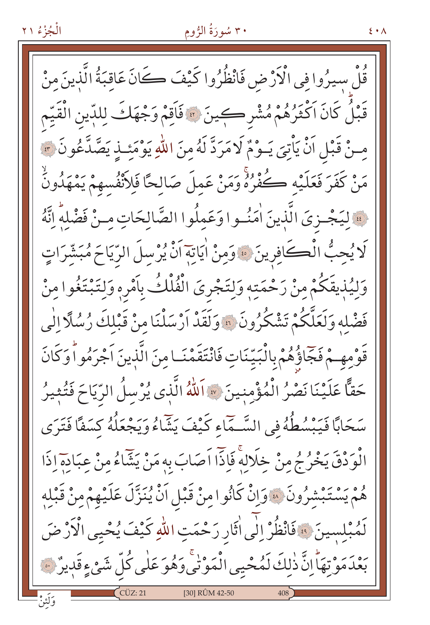## ۳۰ سُورَةُ الرُّومِ

 $\xi \cdot \Lambda$ 

قُلْ سِيرُوا فِي الْأَرْضِ فَانْظُرُوا كَيْفَ كَانَ عَاقبَةُ الَّذينَ مِنْ قَبْلُ كَانَ اَكْثَرُهُمْ مُشْرِكِينَ ۞ فَاَقِمْ وَجْهَكَ لِلدِّينِ الْقَيِّم مِنْ قَبْلِ اَنْ يَأْتِيَ يَـوْمٌ لَا مَرَدَّ لَهُ مِنَ اللّٰهِ يَوْمَئِـذِ يَصَّدَّعُونَ \* مَنْ كَفَرَ فَعَلَيْهِ كُفْرُهُ وَمَنْ عَمِلَ صَالِحًا فَلِأَنْفُسِهِمْ يَمْهَدُونَ فَ لِيَجْـزِيَ الَّذِينَ اٰمَنُـوا وَعَمِلُوا الصَّالِحَاتِ مِـنْ فَضْلِهِ إِنَّهُ لَا يُحِبُّ الْكَافِرِينَ \* وَمِنْ اٰيَاتِهَ اَنْ يُرْسِلَ الرِّيَاحَ مُبَشَّرَاتٍ وَلِيُذِيقَكُمْ مِنْ رَحْمَتِهِ وَلِتَجْرِيَ الْفُلْكُ بِأَمْرِهِ وَلِتَبْتَغُوا مِنْ فَضْلِهِ وَلَعَلَّكُمْ تَشْكُرُونَ ﴾ وَلَقَدْ أَرْسَلْنَا مِنْ قَبْلِكَ رُسُلًا الْمِي قَوْمِهِمْ فَجَّاؤُهُمْ بِالْبَيِّنَاتِ فَانْتَقَمْنَـا مِنَ الَّذينَ اَجْرَمُوا وَكَانَ حَقًّا عَلَيْنَا نَصْرُ الْمُؤْمِنِينَ \* اَللّهُ الَّذِي يُرْسِلُ الرِّيَاحَ فَتُثِيرُ سَحَابًا فَيَبْسُطُهُ في السَّـمَّاءِ كَيْفَ يَشَاءُ وَيَجْعَلُهُ كِسَفًا فَتَرَى الْوَدْقَ يَخْرُجُ مِنْ خِلَالِهِ فَإِذَّا اَصَابَ بِهِ مَنْ يَشَّاءُ مِنْ عِبَادِهِ إِذَا هُمْ يَسْتَبْشَرُونَ ۞ وَإِنْ كَانُوا مِنْ قَبْلِ اَنْ يُنَزَّلَ عَلَيْهِمْ مِنْ قَبْلِهِ لَمُبْلِسينَ ۞ فَانْظُرْ إِلَٰى أَثَارِ رَحْمَتِ اللَّهِ كَيْفَ يُحْيِي الْأَرْضَ بَعْدَمَوْتِهَاْ إِنَّ ذٰلِكَ لَمُحْيِي الْمَوْتِي وَهُوَ عَلَى كُلِّ شَيْءٍقَدِيرٌ ۞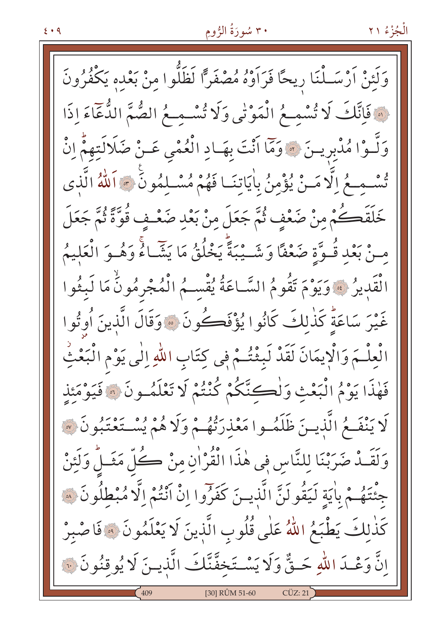# ۳۰ سُورَةُ الرُّومِ

وَلَئِنْ اَرْسَــلْنَا رِيحًا فَرَاَوْهُ مُصْفَرًّا لَظَلُّوا مِنْ بَعْدِه يَكْفُرُونَ نَّ فَإِنَّكَ لَا تُسْمِعُ الْمَوْنِي وَلَا تُسْمِعُ الصُّمَّ الدُّعَاءَ إِذَا وَلَّـوْا مُدْبِرِيـنَ ﴾ وَمَا أَنْتَ بِهَـادِ الْعُمْى عَـنْ ضَلَالَتِهِمْ إِنْ تُسْمِعُ إِلَّا مَـنْ يُؤْمِنُ بِاٰيَاتِنَـا فَهُمْ مُسْـلِمُونِّ ﴾ اَللَّهُ الَّذِي خَلَقَصُكُمْ مِنْ ضَعْفِ ثُمَّ جَعَلَ مِنْ بَعْدِ ضَعْـفٍ قُوَّةً ثُمَّ جَعَلَ مِنْ بَعْدِ قُـوَّةٍ ضَعْفًا وَشَـيْبَةً يَخْلُقُ مَا يَشَّـاءُ وَهُـوَ الْعَليمُ الْقَدِيرُ ۚ ﴾ وَيَوْمَ تَقُومُ السَّـاعَةُ يُقْسِـمُ الْمُجْرِمُونُ مَا لَبِثُوا غَيْرَ سَاعَةً كَذٰلكَ كَانُوا يُؤْفَكُونَ ۞ وَقَالَ الَّذِينَ أُوتُوا الْعِلْـمَ وَالْإِيمَانَ لَقَدْ لَبِثْتُـمْ فِي كِتَابِ اللّهِ اِلٰى يَوْمِ الْبَعْثِ فَهٰذَا يَوْمُ الْبَعْثِ وَلْكِنَّكُمْ كُنْتُمْ لَا تَعْلَمُـونَ ۞ فَيَوْمَئِذِ لَا يَنْفَـمُ الَّذِيـنَ ظَلَمُـوا مَعْذِرَتْهُـمْ وَلَا هُمْ يُسْـتَعْتَبُونَ ۞ وَلَقَـٰدٌ صَرَبْنَا لِلنَّاسِ فِي هٰذَا الْقُرْاٰنِ مِنْ كُلِّ مَثَـلٍّ وَلَئِنْ مُّتَهُمْ بِأَيَةٍ لَيَقُولَنَّ الَّذِينَ كَفَرُوا إِنْ أَنْتُمْ إِلَّا مُبْطِلُونَ ۞ كَذٰلِكَ يَطْبَعُ اللَّهُ عَلَى قُلُوبِ الَّذِينَ لَا يَعْلَمُونَ ۞ فَاصْبِرْ إِنَّ وَعْـدَ اللّهِ حَـقٌّ وَلَا يَسْـتَخِفَّنَّكَ الَّذِيـنَ لَا يُوقِنُونَ ۞ [30] RÛM 51-60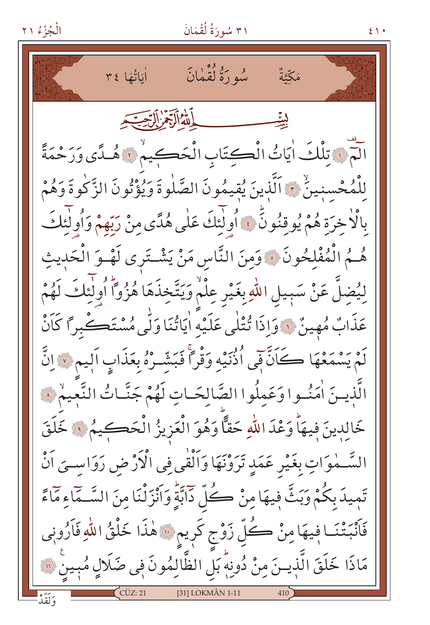$51.$ 

سُو دَوُّكْقَمَانَ أَيَاتُهَا ٣٤ مَكَّتَّةٌ بِدَلِّلْهُ الْآجَمُرِ أَلِّ سِبِسِيَدِ لَمْنَ تِلْكَ اٰيَاتُ الْكِتَابِ الْحَكِيمُ لَا هُلَّي وَرَحْمَةً لِلْمُحْسنينُ ۞ اَلَّذينَ يُقيمُونَ الصَّلٰوةَ وَيُؤْتُونَ الزَّكٰوةَ وَهُمْ بِالْاخِرَةِ هُمْ يُوقِنُونَّ فَ أُولَٰئِكَ عَلٰى هُدًى مِنْ رَبّهِمْ وَأُولَٰئِكَ هُــمُ الْمُفْلِحُونَ ﴾ وَمِنَ النَّاسِ مَنْ يَشْــتَرى لَهْــوَ الْحَدِيثِ لِيُضِلُّ عَنْ سَبِيلِ اللَّهِ بِغَيْرِ عِلْمٌ وَيَتَّخِذَهَا هُزُواً أُولَٰئِكَ لَهُمْ عَذَابٌ مُهِينٌ لَ وَإِذَا تُتْلَى عَلَيْهِ اٰيَاتُنَا وَلَّى مُسْتَكْبِراً كَاَنْ لَمْ يَسْمَعْهَا كَانَّ فِي اُذْنَيْهِ وَقْرًا فَبَشِّرْهُ بِعَذَابٍ اَلِيم لَا إِنَّ الَّذِينَ اٰمَنُوا وَعَمِلُوا الصَّالِحَـاتِ لَهُمْ جَنَّـاتُ النَّعِيمْ ۞ خَالِدِينَ فِيهَاْ وَعْدَ اللّهِ حَقًّا وَهُوَ الْعَزِيزُ الْحَكِيمُ ﴾ خَلَقَ السَّـمٰوَاتِ بِغَيْرِ عَمَدٍ تَرَوْنَهَا وَالْقٰي فِي الْأَرْضِ رَوَاسـيَ اَنْ تَمِيدَ بِكُمْ وَبَثَّ فِيهَا مِنْ كُلِّ دَابَّةٍ وَانْزَلْنَا مِنَ السَّـمَاءِ مَآءً فَأَنْبَتْنَا فِيهَا مِنْ كُلِّ زَوْجٍ كَرِيمٍ لِهَذَا خَلْقُ اللّهِ فَأَرُونِي مَاذَا خَلَقَ الَّذِينَ مِنْ دُونِهِۗ بَلِ الظَّالِمُونَ فِي ضَلَالٍ مُبِينٍ ۞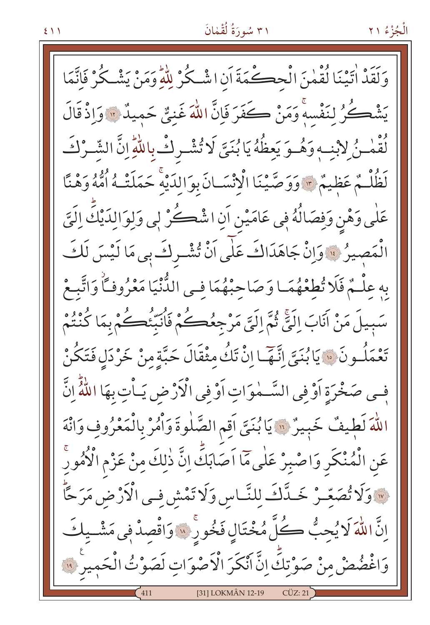### ۳۱ سُورَةُ لُقْمَانَ

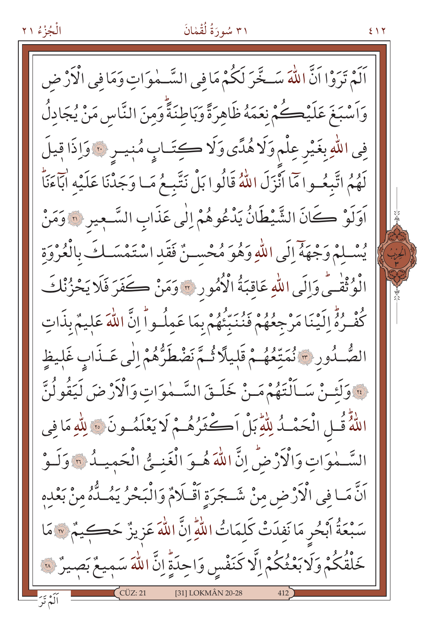# ۳۱ سُورَةُ لُقْمٰانَ

 $217$ 

اَلَمْ تَرَوْا اَنَّ اللَّهَ سَـخَّرَ لَكُمْ مَا فِي السَّـمٰوَاتِ وَمَا فِي الْأَرْضِ وَاَسْبَغَ عَلَيْكُمْ نِعَمَهُ ظَاهِرَةً وَبَاطِنَةً وَمِنَ النَّاسِ مَنْ يُجَادِلُ فِي اللّٰهِ بِغَيْرِ عِلْمٍ وَلَا هُدًى وَلَا كِتَابٍ مُبْيِبِ ﴾ وَإِذَا قِيلَ لَهُمُ اتَّبِعُـوا مَا اَنْزَلَ اللَّهُ قَالُوا بَلْ نَتَّبِـعُ مَـا وَجَدْنَا عَلَيْهِ اٰبَآءَنَا ۖ أَوَلَوْ كَانَ الشَّيْطَانُ يَدْعُوهُمْ إِلَٰى عَذَابِ السَّعِيرِ ۞ وَمَنْ يُسْلِمْ وَجْهَهُ إِلَى اللَّهِ وَهُوَ مُحْسِنٌ فَقَدِ اسْتَمْسَلُكَ بِالْعُرْوَةِ الْوُثْقْبَى وَإِلَى اللّهِ عَاقِبَةُ الْأُمُورِ ۞ وَمَنْ كَفَرَ فَلَا يَحْزُنْكَ كُفْرُهُ إِلَيْنَا مَرْجِعُهُمْ فَنُنَبِّئُهُمْ بِمَا عَمِلُواْ إِنَّ اللَّهَ عَلِيمٌ بِذَات الصُّـٰدُورِ \* نُمَتِّعُهُـمْ قَلِيلًا ثُـمَّ نَضْطَرُّهُمْ إِلَٰى عَـٰذَابِ غَلِيظِ فَ وَلَئِنْ سَـاَلْتَهُمْ مَـنْ خَلَـقَ السَّـمٰوَاتِ وَالْأَرْضَ لَيَقُولُنَّ اللَّهُ قُـلِ الْحَمْـدُ لِلَّهِ بَلْ أَكْثَرُهُـمْ لَا يَعْلَمُـونَ ۞ لِلَّهِ مَا في السَّـمٰوَاتِ وَالْأَرْضُ إِنَّ اللّٰهَ هُـوَ الْغَنِـيُّ الْحَمِيـدُ ۞ وَلَـوْ اَنَّ مَـا فِي الْأَرْضِ مِنْ شَـجَرَةِ اَقْـلَامٌ وَالْبَحْرُ يَمُـلُّهُ مِنْ بَعْدِهِ سَبْعَةُ أَبْحُرِ مَا نَفِدَتْ كَلِمَاتُ اللّهِ إِنَّ اللّهَ عَزِيزٌ حَكِيمٌ « مَا خَلْقُكُمْ وَلَا بَعْثُكُمْ اِلَّا كَنَفْسٍ وَاحِدَةٍ إِنَّ اللَّهَ سَمِيعٌ بَصِيرٌ «َ [31] LOKMÂN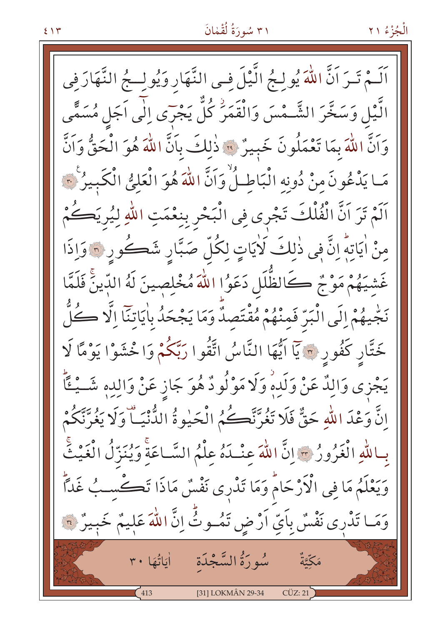### ۳۱ سُورَةُ لُقْمٰانَ

اَلَـمْ تَـرَ اَنَّ اللَّهَ يُولِـجُ الَّـْلَ فِـى النَّهَارِ وَيُولِــجُ النَّهَارَ فِي الَّيْلِ وَسَخَّرَ الشَّـمْسَ وَالْقَمَرُّ كُلِّ يَجْرَى اِلٰى اَجَلِ مُسَمًّى وَاَنَّ اللَّهَ بِمَا تَعْمَلُونَ خَبِيرٌ ۚ ۚ ذٰٰلِكَ بِاَنَّ اللَّهَ هُوَ الْحَقُّ وَاَنَّ مَا يَدْعُونَ مِنْ دُونِهِ الْبَاطِلُ وَاَنَّ اللَّهَ هُوَ الْعَلِيُّ الْكَبِيرُ لَمَّ اَلَمْ تَرَ اَنَّ الْفُلْكَ تَجْرِى فِي الْبَحْرِ بِنِعْمَتِ اللّٰهِ لِيُرِيَكُمْ مِنْ اٰيَاتِهِۗ إِنَّ فِي ذٰلِكَ لَاٰيَاتٍ لِكُلِّ صَبَّارِ شَكُورِ ۞ وَإِذَا غَشيَهُمْ مَوْجٌ كَالظُّلَلِ دَعَوُا اللَّهَ مُخْلِصِينَ لَهُ الدِّينَّ فَلَمَّا نَجْيهُمْ إِلَى الْبَرِّ فَمِنْهُمْ مُقْتَصِدٌ وَمَا يَجْحَدُ بِاٰيَاتِنَآ اِلَّا كُلُّ خَتَّار كَفُور ۞ يَاۤ اتُّهَا النَّاسُ اتَّقُوا رَبَّكُمْ وَاخْشَوْا يَوْمًا لَا يَجْزِى وَالِدٌ عَنْ وَلَدِهِ وَلَا مَوْلُودٌ هُوَ جَازِ عَنْ وَالِدِهِ شَــيْــقَّا إِنَّ وَعْدَ اللَّهِ حَقٌّ فَلَا تَغُرَّنَّكُمُ الْحَيْوةُ الدُّنْيَــاّ وَلَا يَغُرَّنَّكُمْ بِبِاللَّهِ الْغَرُورُ ﴾ إِنَّ اللَّهَ عِنْدَهُ عِلْمُ السَّبَاعَةَ وَيُنَزِّلُ الْغَيْثَ وَيَعْلَمُ مَا فِي الْأَرْحَامُ وَمَا تَدْرِى نَفْسٌ مَاذَا تَكْسِبُ غَدًّا وَمَا تَدْرِى نَفْسٌ بِأَيِّ اَرْضٍ تَمُوثٌّ إِنَّ اللَّهَ عَلِيمٌ خَبِيرٌ ۞ مَكَّتَّةٌ  $113$ [31] LOKMÂN 29-34  $CUZ:21$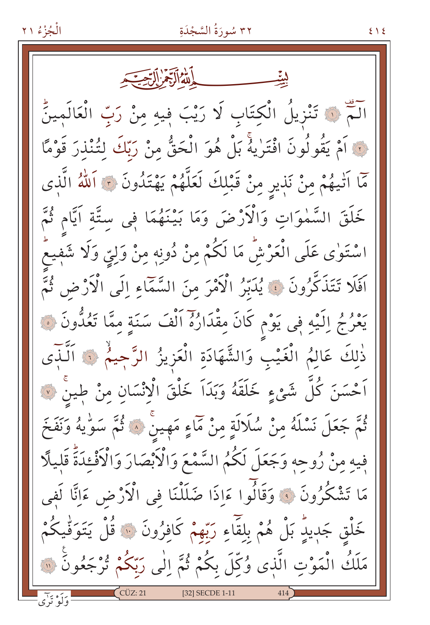آلَمْ ﴾ تَنْزِيلُ الْكِتَابِ لَا رَيْبَ فِيهِ مِنْ رَبِّ الْعَالَمِينِّ لَّ أَمْ يَقُولُونَ افْتَرٰيهُ بَلْ هُوَ الْحَقُّ مِنْ رَبِّكَ لِتُنْذِرَ قَوْمًا مَّا اَتْيهُمْ مِنْ نَذِيرِ مِنْ قَبْلِكَ لَعَلَّهُمْ يَهْتَدُونَ ۞ اَللّهُ الَّذِى خَلَقَ السَّمٰوَاتِ وَالْأَرْضَ وَمَا بَيْنَهُمَا فِى سِتَّةِ اَيَّامِ ثُمَّ اسْتَوٰى عَلَى الْعَرْشِّ مَا لَكُمْ مِنْ دُونِهٖ مِنْ وَلِيٍّ وَلَا شَفِيعٌ اَفَلَا تَتَذَكَّرُونَ ۚ يُدَبِّرُ الْأَمْرَ مِنَ السَّمَّاءِ إِلَى الْأَرْضِ ثُمَّ يَعْرُجُ إِلَيْهِ فِي يَوْمِ كَانَ مِقْدَارُهُ اَلْفَ سَنَةٍ مِمَّا تَعُدُّونَ ۞ ذٰلِكَ عَالِمُ الْغَيْبِ وَالشَّهَادَةِ الْعَزِيزُ الرَّحِيمُ ﴾ الَّذَى اَحْسَنَ كُلِّ شَيْءٍ خَلَقَهُ وَبَدَاَ خَلْقَ الْإِنْسَانِ مِنْ طِينْ ۞ ثُمَّ جَعَلَ نَسْلَهُ مِنْ سُلَالَةٍ مِنْ مَمَاءٍ مَهِينٌ ۞ ثُمَّ سَوِّيهُ وَنَفَخَ فِيهِ مِنْ رُوحِهِ وَجَعَلَ لَكُمُ السَّمْعَ وَالْأَبْصَارَ وَالْأَفْئِدَةَّ قَليلًا مَا تَشْكُرُونَ ۚ وَقَالُوا ءَاِذَا ضَلَلْنَا فِي الْآرْضِ ءَانَّا لَفِي خَلْق جَدِيدٍ بَلْ هُمْ بِلِقَاءِ رَبِّهِمْ كَافِرُونَ ۞ قُلْ يَتَوَقَّيكُمْ مَلَكُ الْمَوْتِ الَّذِى وُكِّلَ بِكُمْ ثُمَّ اِلٰى رَبَّكُمْ تُرْجَعُونَ ۞ [32] SECDE 1-11

 $\xi \setminus \xi$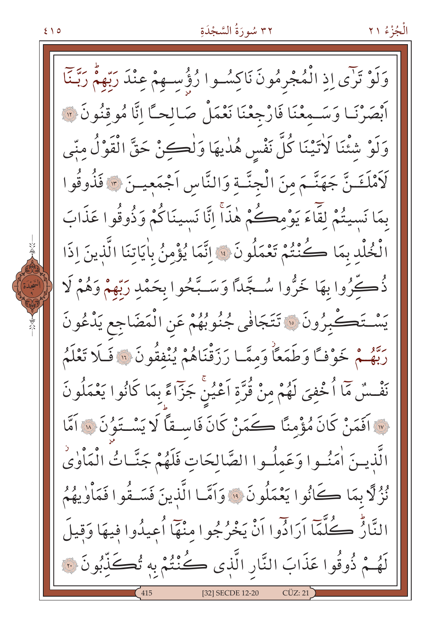#### ٣٢ سُورَةُ السَّجْدَةِ

الْجُزْءُ ٢١

وَلَوْ تَرَى إِذِ الْمُجْرِمُونَ نَاكِسُوا رُؤُسِهِمْ عِنْدَ رَبِّهِمْ رَبَّنَا أَبْصَرْنَـا وَسَـمعْنَا فَارْجِعْنَا نَعْمَلْ صَـالحـًا إِنَّا مُوقِنُونَ ۞ وَلَوْ شِئْنَا لَاتَيْنَا كُلَّ نَفْسٍ هُذِيهَا وَلْكِنْ حَقَّ الْقَوْلُ مِنِّي لَأَمْلَغَـنَّ جَهَنَّـمَ مِنَ الْجِنَّـةِ وَالنَّاسِ اَجْمَعِيــنَ \* فَذُوقُوا بِمَا نَسيتُمْ لِقَاءَ يَوْمِكُمْ هٰذَاً اِنَّا نَسينَاكُمْ وَذُوقُوا عَذَابَ الْخُلْدِ بِمَا كُنْتُمْ تَعْمَلُونَ ۞ اِتَّمَا يُؤْمِنُ بِاٰيَاتِنَا الَّذِينَ اِذَا ذُكِّرُوا بِهَا خَرُّوا سُـجَّدًا وَسَـبَّحُوا بِحَمْدِ رَبَّهُمْ وَهُمْ لَا يَسْتَكْبِرُونَ ۞ تَتَجَافَى جُنُوبُهُمْ عَنِ الْمَضَاجِعِ يَدْعُونَ رَبَّهُمْ خَوْفًا وَطَمَعًا وَمِمَّا رَزَقْنَاهُمْ يُنْفِقُونَ ۞ فَلَا تَعْلَمُ نَفْسُ مَا أُخْفِيَ لَهُمْ مِنْ قُرَّةِ أَعْيُنْ جَزَّاءً بِمَا كَانُوا يَعْمَلُونَ لِهِ اَفَمَنْ كَانَ مُؤْمِنًا كَمَنْ كَانَ فَاسِـقًا لَا يَسْـتَوُنَ « اَمَّا الَّذِينَ اٰمَنُوا وَعَمِلُوا الصَّالِحَاتِ فَلَهُمْ جَنَّاتُ الْمَأْوٰىٰ نُزُ لَا بِمَا كَانُوا يَعْمَلُونَ ۚ ﴿ وَآمَّا الَّذِينَ فَسَـقُوا فَمَأْوٰيهُمُ النَّارُّ كُلَّمَا اَرَادُوا اَنْ يَخْرُجُوا مِنْهَا اُعِيدُوا فِيهَا وَقِيلَ لَهُـمْ ذُوقُوا عَذَابَ النَّارِ الَّذِي كُنْتُمْ بِهِ تُكَذِّبُونَ ۞ [32] SECDE 12-20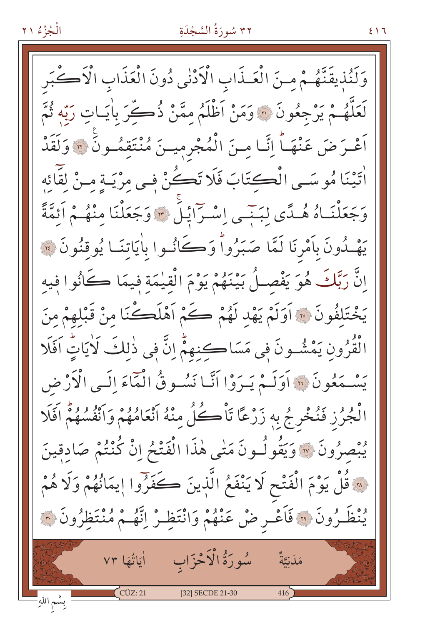#### ٣٢ سُورَةُ السَّجْدَةِ

وَلَنُذِيقَنَّهُمْ مِنَ الْعَـذَابِ الْأَدْنٰى دُونَ الْعَذَابِ الْأَكْبَرِ لَعَلَّهُـمْ يَرْجِعُونَ ۞ وَمَنْ أَظْلَمُ مِمَّنْ ذُكِّرَ بِاٰيَـاتِ رَبِّهِ ثُمَّ اَعْـرَضَ عَنْهَـاً اِنَّـا مِـنَ الْمُجْرِمِيـنَ مُنْتَقِمُـونِّ ۞ وَلَقَدْ اٰتَيْنَا مُوسَى الْكِتَابَ فَلَا تَكُنْ فِي مِرْيَـةٍ مِـنْ لِقَائِهِ وَجَعَلْنَـاهُ هُـدًى لِبَنْـي إِسْـرَايْلِّ ۞ وَجَعَلْنَا مِنْهُـمْ أَئِمَّةً يَهْدُونَ بِأَمْرِنَا لَمَّا صَبَرُواْ وَكَانُوا بِاٰيَاتِنَـا يُوقِنُونَ ۞ إِنَّ رَبَّكَ هُوَ يَفْصِلُ بَيْنَهُمْ يَوْمَ الْقِيٰمَةِ فِيمَا كَانُوا فِيه يَخْتَلِفُونَ ﴾ أوَلَمْ يَهْدِ لَهُمْ كَمْ أَهْلَكْنَا مِنْ قَبْلهِمْ مِنَ الْقَرُونِ يَمْشُـونَ فِي مَسَاكِنِهِمْ إِنَّ فِي ذٰلِكَ لَأَيَاتٍ آفَلَا يَسْمَعُونَ ۞ أَوَلَـمْ يَـرَوْا أَنَّـا نَسُـوقُ الْعَاءَ الَّـى الْأَرْض الْجُرُزِ فَنُخْرِجُ بِهِ زَرْعًا تَأْكُلُ مِنْهُ انْعَامُهُمْ وَانْفُسُهُمْ اَفَلَا يُبْصِرُونَ ۞ وَيَقُولُونَ مَتْبِي هٰذَا الْفَتْحُ إِنْ كُنْتُمْ صَادقينَ لِهَ قُلْ يَوْمَ الْفَتْحِ لَا يَنْفَعُ الَّذِينَ كَفَرُوا إِيمَانُهُمْ وَلَا هُمْ يُنْظَرُونَ ۞ فَأَعْـرِ ضْ عَنْهُمْ وَانْتَظِـرْ إِنَّهُـمْ مُنْتَظِرُونَ ۞ سُورَةُ الْأَخْزَابِ اٰیَاتُهَا ٧٣ مَدَنِيَّةٌ  $\int$  CÜZ: 21 [32] SECDE 21-30 بسٌم اللهِ ٗ

 $517$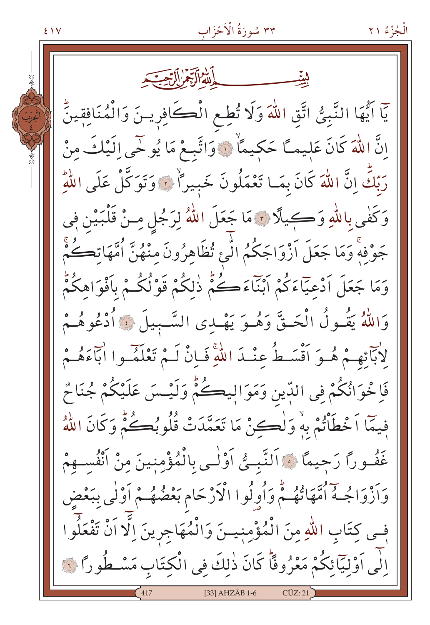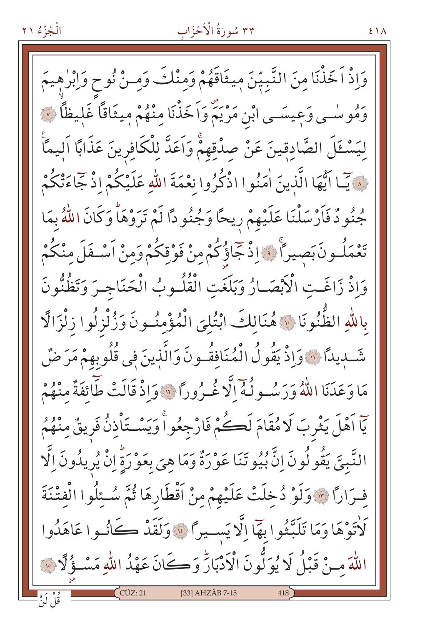# ٣٣ سُورَةُ الْأَخْزَاب

 $51A$ 

وَإِذْ اَخَذْنَا مِنَ النَّبِيِّنَ مِيثَاقَهُمْ وَمِنْكَ وَمِـنْ نُوحٍ وَإِبْرٰهِيمَ وَمُوسٰـى وَعِيسَـى ابْنِ مَرْيَمٍّ وَاَخَذْنَا مِنْهُمْ مِيثَاقاً غَليظاً ۞ لِيَسْـئَلَ الصَّادِقِينَ عَنْ صِدْقِهِمْۚ وَاَعَدَّ لِلْكَافِرِينَ عَذَابًا اليمَّا فِي آيِّ ايُّهَا الَّذِينَ اٰمَنُوا اذْكُرُوا نِعْمَةَ اللَّهِ عَلَيْكُمْ إِذْ جَاءَةْكُمْ جُنُودٌ فَأَرْسَلْنَا عَلَيْهِمْ رِيحًا وَجُنُودًا لَمْ تَرَوْهَاْ وَكَانَ اللَّهُ بِمَا تَعْمَلُـونَ بَصِيراً ﴾ إِذْ جَاؤُكُمْ مِنْ فَوْقِكُمْ وَمِنْ اَسْـفَلَ مِنْكُمْ وَاذْ زَاغَتِ الْأَبْصَـارُ وَبَلَغَتِ الْقُلُـوبُ الْحَنَاجِـرَ وَتَظُنُّونَ بِاللَّهِ الظُّنُونَا ﴾ هُنَالِكَ ابْتُلِيَ الْمُؤْمِنُونَ وَزُلْزِلُوا زِلْزَالًا شَّـديداً ۞ وَإِذْ يَقُولُ الْمُنَافِقُـونَ وَالَّذِينَ فِي قُلُوبِهِمْ مَرَضٌ مَا وَعَدَنَا اللَّهُ وَرَسُولُهُ إِلَّا غُـرُورًا \* وَإِذْ قَالَتْ طَائِفَةٌ مِنْهُمْ يَا اَهْلَ يَثْرِبَ لَا مُقَامَ لَكُمْ فَارْجِعُواْ وَيَسْتَأْذِنُ فَرِيقٌ مِنْهُمُ النَّبِيَّ يَقُولُونَ إِنَّ بُيُوتَنَا عَوْرَةٌ وَمَا هِيَ بِعَوْرَةٍ إِنْ يُرِيدُونَ إِلَّا فِرَارًا \* وَلَوْ دُخِلَتْ عَلَيْهِمْ مِنْ أَقْطَارِهَا ثُمَّ سُئِلُوا الْفِتْنَةَ كَأْتَوْهَا وَمَا تَلَبَّثُوا بِهَا إِلَّا يَسْيِرًا ۚ وَلَقَدْ كَانُوا عَاهَدُوا اللَّهَ مـنْ قَبْلُ لَا يُوَلُّونَ الْأَدْبَارِّ وَكَانَ عَهْدُ اللَّهِ مَسْـؤُلًّا ۞  $C\ddot{U}Z:21$ [33] AHZÂB 7-15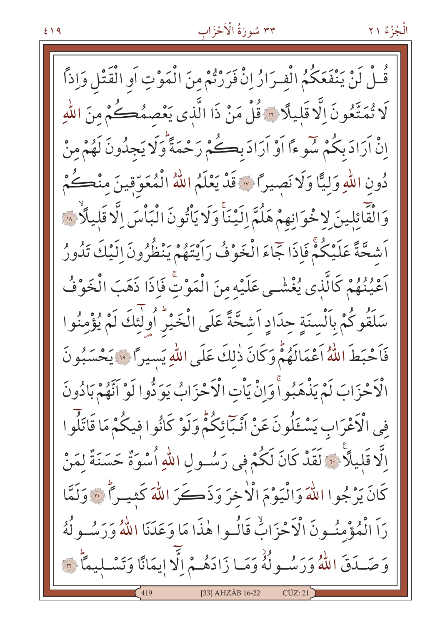# ٣٣ سُورَةُ الْأَحْزَابِ

قُلْ لَنْ يَنْفَعَكُمُ الْفِرَارُ إِنْ فَرَرْتُمْ مِنَ الْمَوْتِ أَوِ الْقَتْلِ وَإِذَا لَا تُمَتَّعُونَ إِلَّا قَلِيلًا ۚ أَقُلْ مَنْ ذَا الَّذِى يَعْصِمُكُمْ مِنَ اللَّهِ إِنْ أَرَادَ بِكُمْ سُوءًا أَوْ أَرَادَ بِكُمْ رَحْمَةً وَلَا يَجِدُونَ لَهُمْ مِنْ دُونِ اللّهِ وَليًّا وَلَا نَصِيرًا \* قَدْ يَعْلَمُ اللّهُ الْمُعَوِّقِينَ مِنْكُمْ وَالْقَائِلِينَ لاخْوَانِهِمْ هَلُمَّ الَّيْنَاَّ وَلَا يَأْتُونَ الْبَأْسَ الَّا قَلِيلًا بِسَ اَشْعَةً عَلَيْكُمْ فَإِذَا جَاءَ الْخَوْفُ رَاَيْتَهُمْ يَنْظُرُونَ اِلَيْكَ تَدُورُ اَعْيُنُهُمْ كَالَّذِي يُغْشْـي عَلَيْه منَ الْمَوْتِ فَإِذَا ذَهَبَ الْخَوْفُ سَلَقُوكُمْ بِاَلْسِنَةِ حِدَادِ اَشْحَّةً عَلَى الْخَيْرُ أُولٰئِكَ لَمْ يُؤْمِنُوا فَأَحْبَطَ اللَّهُ أَعْمَالَهُمّْ وَكَانَ ذٰلكَ عَلَى اللَّهِ يَسيراً ۚ ۚ يَحْسَبُونَ الْأَحْزَابَ لَمْ يَذْهَبُوا وَإِنْ يَأْتِ الْأَحْزَابُ يَوَدُّوا لَوْ أَنَّهُمْ بَادُونَ فِي الْأَعْرَابِ يَسْــْلُونَ عَنْ اَنْـبَائِكُمّْ وَلَوْ كَانُوا فِيكُمْ مَا قَاتَلُوا الَّا قَليلًا ۚ ﴾ لَقَدْ كَانَ لَكُمْ في رَسُـولِ اللهِ أُسْوَةٌ حَسَنَةٌ لِمَنْ كَانَ يَرْجُوا اللَّهَ وَالْيَوْمَ الْأَخِرَ وَذَكَرَ اللَّهَ كَثِيراً \* وَلَمَّا رَا الْمُؤْمِنُونَ الْأَحْزَابُّ قَالُوا هٰذَا مَا وَعَدَنَا اللَّهُ وَرَسُولُهُ وَصَـدَقَ اللَّهُ وَرَسُـولُهُ وَمَـا زَادَهُـمْ إِلَّا إِيمَانًا وَتَسْـلِيمًا ۚ ٣ [33] AHZÂB 16-22